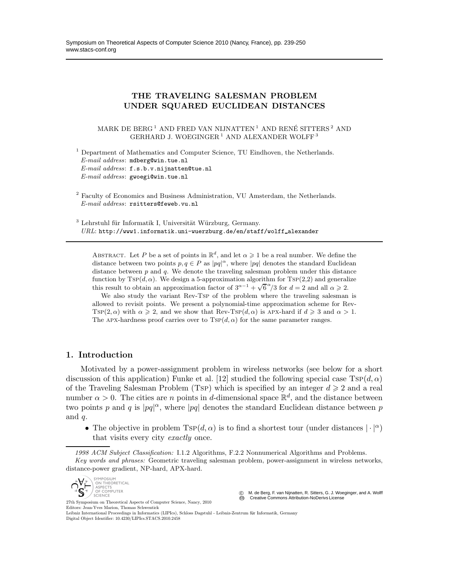# THE TRAVELING SALESMAN PROBLEM UNDER SQUARED EUCLIDEAN DISTANCES

MARK DE BERG<sup>1</sup> AND FRED VAN NIJNATTEN<sup>1</sup> AND RENÉ SITTERS<sup>2</sup> AND GERHARD J. WOEGINGER<sup>1</sup> AND ALEXANDER WOLFF<sup>3</sup>

<sup>1</sup> Department of Mathematics and Computer Science, TU Eindhoven, the Netherlands. *E-mail address*: mdberg@win.tue.nl *E-mail address*: f.s.b.v.nijnatten@tue.nl *E-mail address*: gwoegi@win.tue.nl

 $2$  Faculty of Economics and Business Administration, VU Amsterdam, the Netherlands. *E-mail address*: rsitters@feweb.vu.nl

 $3$  Lehrstuhl für Informatik I, Universität Würzburg, Germany. URL: http://www1.informatik.uni-wuerzburg.de/en/staff/wolff\_alexander

ABSTRACT. Let P be a set of points in  $\mathbb{R}^d$ , and let  $\alpha \geq 1$  be a real number. We define the distance between two points  $p, q \in P$  as  $|pq|^{\alpha}$ , where  $|pq|$  denotes the standard Euclidean distance between  $p$  and  $q$ . We denote the traveling salesman problem under this distance function by  $Tsp(d, \alpha)$ . We design a 5-approximation algorithm for  $Tsp(2,2)$  and generalize this result to obtain an approximation factor of  $3^{\alpha-1} + \sqrt{6}^{\alpha}/3$  for  $d = 2$  and all  $\alpha \ge 2$ .

We also study the variant Rev-Tsp of the problem where the traveling salesman is allowed to revisit points. We present a polynomial-time approximation scheme for Rev-Tsp(2,  $\alpha$ ) with  $\alpha \geq 2$ , and we show that Rev-Tsp(d,  $\alpha$ ) is Apx-hard if  $d \geq 3$  and  $\alpha > 1$ . The APX-hardness proof carries over to  $TSP(d, \alpha)$  for the same parameter ranges.

# 1. Introduction

Motivated by a power-assignment problem in wireless networks (see below for a short discussion of this application) Funke et al. [12] studied the following special case  $Tsp(d, \alpha)$ of the Traveling Salesman Problem (Tsp) which is specified by an integer  $d \geq 2$  and a real number  $\alpha > 0$ . The cities are *n* points in d-dimensional space  $\mathbb{R}^d$ , and the distance between two points p and q is  $|pq|^{\alpha}$ , where  $|pq|$  denotes the standard Euclidean distance between p and  $q$ .

• The objective in problem  $T\text{SP}(d,\alpha)$  is to find a shortest tour (under distances  $|\cdot|^{\alpha}$ ) that visits every city exactly once.

*1998 ACM Subject Classification:* I.1.2 Algorithms, F.2.2 Nonnumerical Algorithms and Problems. *Key words and phrases:* Geometric traveling salesman problem, power-assignment in wireless networks, distance-power gradient, NP-hard, APX-hard.



27th Symposium on Theoretical Aspects of Computer Science, Nancy, 2010 Editors: Jean-Yves Marion, Thomas Schwentick

© M. de Berg, F. van Nijnatten, R. Sitters, G. J. Woeginger, and A. Wolff<br>**©** Creative Commons Attribution-NoDerivs License

Leibniz International Proceedings in Informatics (LIPIcs), Schloss Dagstuhl - Leibniz-Zentrum für Informatik, Germany Digital Object Identifier: 10.4230/LIPIcs.STACS.2010.2458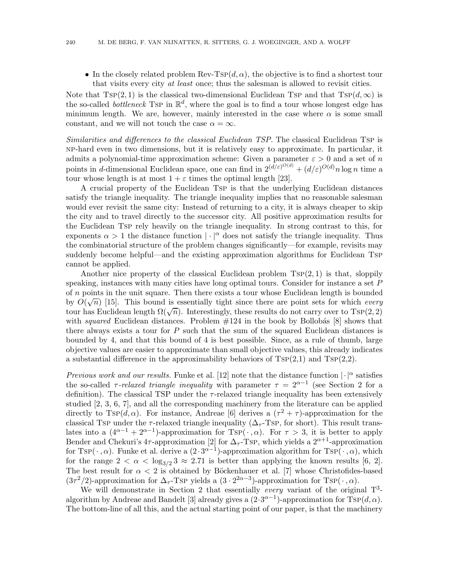• In the closely related problem Rev-Tsp( $d, \alpha$ ), the objective is to find a shortest tour that visits every city at least once; thus the salesman is allowed to revisit cities.

Note that  $T\text{SP}(2, 1)$  is the classical two-dimensional Euclidean Tsp and that  $T\text{SP}(d, \infty)$  is the so-called *bottleneck* Tsp in  $\mathbb{R}^d$ , where the goal is to find a tour whose longest edge has minimum length. We are, however, mainly interested in the case where  $\alpha$  is some small constant, and we will not touch the case  $\alpha = \infty$ .

Similarities and differences to the classical Euclidean TSP. The classical Euclidean Tsp is np-hard even in two dimensions, but it is relatively easy to approximate. In particular, it admits a polynomial-time approximation scheme: Given a parameter  $\varepsilon > 0$  and a set of n points in d-dimensional Euclidean space, one can find in  $2^{(\tilde{d}/\varepsilon)^{O(d)}} + (d/\varepsilon)^{O(d)} n \log n$  time a tour whose length is at most  $1 + \varepsilon$  times the optimal length [23].

A crucial property of the Euclidean Tsp is that the underlying Euclidean distances satisfy the triangle inequality. The triangle inequality implies that no reasonable salesman would ever revisit the same city: Instead of returning to a city, it is always cheaper to skip the city and to travel directly to the successor city. All positive approximation results for the Euclidean Tsp rely heavily on the triangle inequality. In strong contrast to this, for exponents  $\alpha > 1$  the distance function  $|\cdot|^{\alpha}$  does not satisfy the triangle inequality. Thus the combinatorial structure of the problem changes significantly—for example, revisits may suddenly become helpful—and the existing approximation algorithms for Euclidean Tsp cannot be applied.

Another nice property of the classical Euclidean problem  $TSP(2, 1)$  is that, sloppily speaking, instances with many cities have long optimal tours. Consider for instance a set  $P$ of n points in the unit square. Then there exists a tour whose Euclidean length is bounded by  $O(\sqrt{n})$  [15]. This bound is essentially tight since there are point sets for which every tour has Euclidean length  $\Omega(\sqrt{n})$ . Interestingly, these results do not carry over to Tsp(2, 2) with squared Euclidean distances. Problem  $\#124$  in the book by Bollobás [8] shows that there always exists a tour for  $P$  such that the sum of the squared Euclidean distances is bounded by 4, and that this bound of 4 is best possible. Since, as a rule of thumb, large objective values are easier to approximate than small objective values, this already indicates a substantial difference in the approximability behaviors of  $T\text{SP}(2,1)$  and  $T\text{SP}(2,2)$ .

Previous work and our results. Funke et al. [12] note that the distance function  $|\cdot|^{\alpha}$  satisfies the so-called  $\tau$ -relaxed triangle inequality with parameter  $\tau = 2^{\alpha-1}$  (see Section 2 for a definition). The classical TSP under the  $\tau$ -relaxed triangle inequality has been extensively studied [2, 3, 6, 7], and all the corresponding machinery from the literature can be applied directly to  $TSP(d, \alpha)$ . For instance, Andreae [6] derives a  $(\tau^2 + \tau)$ -approximation for the classical Tsp under the  $\tau$ -relaxed triangle inequality ( $\Delta_{\tau}$ -Tsp, for short). This result translates into a  $(4^{\alpha-1} + 2^{\alpha-1})$ -approximation for Tsp( $\cdot$ ,  $\alpha$ ). For  $\tau > 3$ , it is better to apply Bender and Chekuri's 4 $\tau$ -approximation [2] for  $\Delta_{\tau}$ -Tsp, which yields a  $2^{\alpha+1}$ -approximation for Tsp( $\cdot$ , $\alpha$ ). Funke et al. derive a  $(2 \cdot 3^{\alpha-1})$ -approximation algorithm for Tsp( $\cdot$ , $\alpha$ ), which for the range  $2 < \alpha < \log_{3/2} 3 \approx 2.71$  is better than applying the known results [6, 2]. The best result for  $\alpha < 2$  is obtained by Böckenhauer et al. [7] whose Christofides-based  $(3\tau^2/2)$ -approximation for  $\Delta_{\tau}$ -Tsp yields a  $(3 \cdot 2^{2\alpha-3})$ -approximation for Tsp $(\cdot, \alpha)$ .

We will demonstrate in Section 2 that essentially every variant of the original  $T^3$ algorithm by Andreae and Bandelt [3] already gives a  $(2 \cdot 3^{\alpha-1})$ -approximation for  $T\text{SP}(d, \alpha)$ . The bottom-line of all this, and the actual starting point of our paper, is that the machinery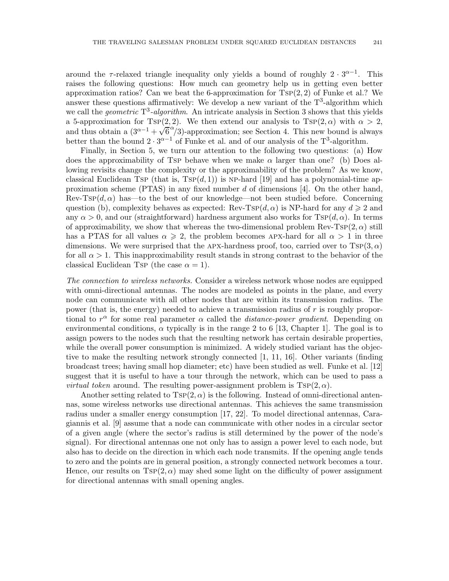around the  $\tau$ -relaxed triangle inequality only yields a bound of roughly  $2 \cdot 3^{\alpha-1}$ . This raises the following questions: How much can geometry help us in getting even better approximation ratios? Can we beat the 6-approximation for  $TSP(2, 2)$  of Funke et al.? We answer these questions affirmatively: We develop a new variant of the  $T^3$ -algorithm which we call the *geometric*  $T^3$ -algorithm. An intricate analysis in Section 3 shows that this yields a 5-approximation for Tsp(2, 2). We then extend our analysis to Tsp(2,  $\alpha$ ) with  $\alpha > 2$ , and thus obtain a  $(3^{\alpha-1} + \sqrt{6}^{\alpha}/3)$ -approximation; see Section 4. This new bound is always better than the bound  $2 \cdot 3^{\alpha-1}$  of Funke et al. and of our analysis of the T<sup>3</sup>-algorithm.

Finally, in Section 5, we turn our attention to the following two questions: (a) How does the approximability of Tsp behave when we make  $\alpha$  larger than one? (b) Does allowing revisits change the complexity or the approximability of the problem? As we know, classical Euclidean Tsp (that is,  $Tsp(d, 1)$ ) is NP-hard [19] and has a polynomial-time approximation scheme (PTAS) in any fixed number d of dimensions [4]. On the other hand,  $\text{Rev-Tsp}(d, \alpha)$  has—to the best of our knowledge—not been studied before. Concerning question (b), complexity behaves as expected: Rev-Tsp( $d, \alpha$ ) is NP-hard for any  $d \geq 2$  and any  $\alpha > 0$ , and our (straightforward) hardness argument also works for TsP $(d, \alpha)$ . In terms of approximability, we show that whereas the two-dimensional problem  $\text{Rev-Tsp}(2, \alpha)$  still has a PTAS for all values  $\alpha \geqslant 2$ , the problem becomes APX-hard for all  $\alpha > 1$  in three dimensions. We were surprised that the APX-hardness proof, too, carried over to  $T\text{SP}(3,\alpha)$ for all  $\alpha > 1$ . This inapproximability result stands in strong contrast to the behavior of the classical Euclidean Tsp (the case  $\alpha = 1$ ).

The connection to wireless networks. Consider a wireless network whose nodes are equipped with omni-directional antennas. The nodes are modeled as points in the plane, and every node can communicate with all other nodes that are within its transmission radius. The power (that is, the energy) needed to achieve a transmission radius of r is roughly proportional to  $r^{\alpha}$  for some real parameter  $\alpha$  called the *distance-power gradient*. Depending on environmental conditions,  $\alpha$  typically is in the range 2 to 6 [13, Chapter 1]. The goal is to assign powers to the nodes such that the resulting network has certain desirable properties, while the overall power consumption is minimized. A widely studied variant has the objective to make the resulting network strongly connected [1, 11, 16]. Other variants (finding broadcast trees; having small hop diameter; etc) have been studied as well. Funke et al. [12] suggest that it is useful to have a tour through the network, which can be used to pass a *virtual token* around. The resulting power-assignment problem is  $TSP(2, \alpha)$ .

Another setting related to  $TSP(2, \alpha)$  is the following. Instead of omni-directional antennas, some wireless networks use directional antennas. This achieves the same transmission radius under a smaller energy consumption [17, 22]. To model directional antennas, Caragiannis et al. [9] assume that a node can communicate with other nodes in a circular sector of a given angle (where the sector's radius is still determined by the power of the node's signal). For directional antennas one not only has to assign a power level to each node, but also has to decide on the direction in which each node transmits. If the opening angle tends to zero and the points are in general position, a strongly connected network becomes a tour. Hence, our results on  $TSP(2, \alpha)$  may shed some light on the difficulty of power assignment for directional antennas with small opening angles.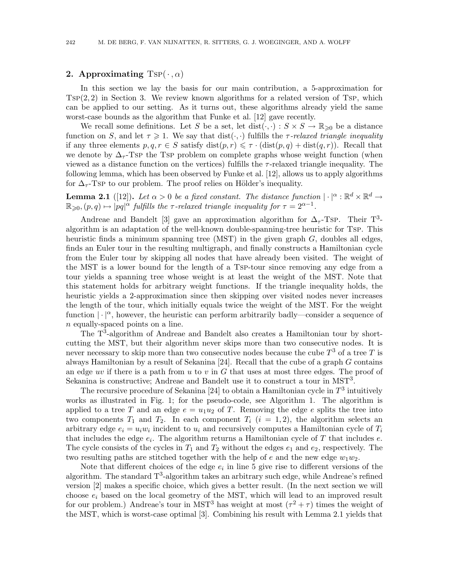## 2. Approximating  $TSP(\cdot, \alpha)$

In this section we lay the basis for our main contribution, a 5-approximation for  $TSP(2, 2)$  in Section 3. We review known algorithms for a related version of Tsp, which can be applied to our setting. As it turns out, these algorithms already yield the same worst-case bounds as the algorithm that Funke et al. [12] gave recently.

We recall some definitions. Let S be a set, let dist( $\cdot, \cdot$ ) :  $S \times S \to \mathbb{R}_{\geq 0}$  be a distance function on S, and let  $\tau \geq 1$ . We say that  $dist(\cdot, \cdot)$  fulfills the  $\tau$ -relaxed triangle inequality if any three elements  $p,q,r \in S$  satisfy  $dist(p,r) \leq \tau \cdot (dist(p,q) + dist(q,r))$ . Recall that we denote by  $\Delta_{\tau}$ -Tsp the Tsp problem on complete graphs whose weight function (when viewed as a distance function on the vertices) fulfills the  $\tau$ -relaxed triangle inequality. The following lemma, which has been observed by Funke et al. [12], allows us to apply algorithms for  $\Delta_{\tau}$ -Tsp to our problem. The proof relies on Hölder's inequality.

**Lemma 2.1** ([12]). Let  $\alpha > 0$  be a fixed constant. The distance function  $|\cdot|^{\alpha} : \mathbb{R}^d \times \mathbb{R}^d \to$  $\mathbb{R}_{\geqslant 0}, (p,q) \mapsto |pq|^{\alpha'}$  fulfills the  $\tau$ -relaxed triangle inequality for  $\tau = 2^{\alpha-1}$ .

Andreae and Bandelt [3] gave an approximation algorithm for  $\Delta_{\tau}$ -Tsp. Their T<sup>3</sup>algorithm is an adaptation of the well-known double-spanning-tree heuristic for Tsp. This heuristic finds a minimum spanning tree  $(MST)$  in the given graph G, doubles all edges, finds an Euler tour in the resulting multigraph, and finally constructs a Hamiltonian cycle from the Euler tour by skipping all nodes that have already been visited. The weight of the MST is a lower bound for the length of a Tsp-tour since removing any edge from a tour yields a spanning tree whose weight is at least the weight of the MST. Note that this statement holds for arbitrary weight functions. If the triangle inequality holds, the heuristic yields a 2-approximation since then skipping over visited nodes never increases the length of the tour, which initially equals twice the weight of the MST. For the weight function  $|\cdot|^{\alpha}$ , however, the heuristic can perform arbitrarily badly—consider a sequence of n equally-spaced points on a line.

The T<sup>3</sup>-algorithm of Andreae and Bandelt also creates a Hamiltonian tour by shortcutting the MST, but their algorithm never skips more than two consecutive nodes. It is never necessary to skip more than two consecutive nodes because the cube  $T^3$  of a tree  $T$  is always Hamiltonian by a result of Sekanina [24]. Recall that the cube of a graph G contains an edge uv if there is a path from u to v in  $G$  that uses at most three edges. The proof of Sekanina is constructive; Andreae and Bandelt use it to construct a tour in MST<sup>3</sup>.

The recursive procedure of Sekanina [24] to obtain a Hamiltonian cycle in  $T^3$  intuitively works as illustrated in Fig. 1; for the pseudo-code, see Algorithm 1. The algorithm is applied to a tree T and an edge  $e = u_1 u_2$  of T. Removing the edge e splits the tree into two components  $T_1$  and  $T_2$ . In each component  $T_i$   $(i = 1, 2)$ , the algorithm selects an arbitrary edge  $e_i = u_i w_i$  incident to  $u_i$  and recursively computes a Hamiltonian cycle of  $T_i$ that includes the edge  $e_i$ . The algorithm returns a Hamiltonian cycle of T that includes  $e$ . The cycle consists of the cycles in  $T_1$  and  $T_2$  without the edges  $e_1$  and  $e_2$ , respectively. The two resulting paths are stitched together with the help of e and the new edge  $w_1w_2$ .

Note that different choices of the edge  $e_i$  in line 5 give rise to different versions of the algorithm. The standard  $T^3$ -algorithm takes an arbitrary such edge, while Andreae's refined version [2] makes a specific choice, which gives a better result. (In the next section we will choose  $e_i$  based on the local geometry of the MST, which will lead to an improved result for our problem.) Andreae's tour in MST<sup>3</sup> has weight at most  $(\tau^2 + \tau)$  times the weight of the MST, which is worst-case optimal [3]. Combining his result with Lemma 2.1 yields that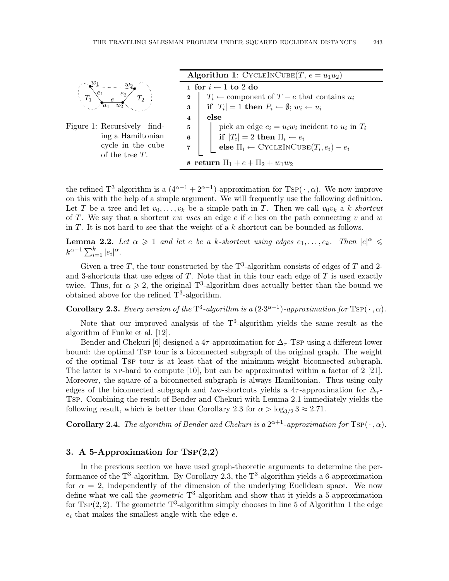

Figure 1: Recursively finding a Hamiltonian cycle in the cube of the tree T.

| <b>Algorithm 1:</b> CYCLEINCUBE $(T, e = u_1u_2)$                                                                             |
|-------------------------------------------------------------------------------------------------------------------------------|
| 1 for $i \leftarrow 1$ to 2 do                                                                                                |
|                                                                                                                               |
| 2 $T_i$ ← component of $T - e$ that contains $u_i$<br>3 <b>if</b> $ T_i  = 1$ <b>then</b> $P_i$ ← $\emptyset$ ; $w_i$ ← $u_i$ |
| 4<br>else                                                                                                                     |
| pick an edge $e_i = u_i w_i$ incident to $u_i$ in $T_i$<br>$\overline{5}$                                                     |
| if $ T_i  = 2$ then $\Pi_i \leftarrow e_i$<br>6                                                                               |
| else $\Pi_i \leftarrow$ CYCLEINCUBE $(T_i, e_i) - e_i$<br>$\overline{\mathbf{7}}$                                             |
| 8 return $\Pi_1 + e + \Pi_2 + w_1w_2$                                                                                         |

the refined T<sup>3</sup>-algorithm is a  $(4^{\alpha-1} + 2^{\alpha-1})$ -approximation for Tsp( $\cdot$ ,  $\alpha$ ). We now improve on this with the help of a simple argument. We will frequently use the following definition. Let T be a tree and let  $v_0, \ldots, v_k$  be a simple path in T. Then we call  $v_0v_k$  a k-shortcut of T. We say that a shortcut vw uses an edge  $e$  if  $e$  lies on the path connecting v and w in  $T$ . It is not hard to see that the weight of a k-shortcut can be bounded as follows.

**Lemma 2.2.** Let  $\alpha \geq 1$  and let e be a k-shortcut using edges  $e_1, \ldots, e_k$ . Then  $|e|^{\alpha} \leq$  $k^{\alpha-1} \sum_{i=1}^{k} |e_i|^{\alpha}$ .

Given a tree T, the tour constructed by the  $T^3$ -algorithm consists of edges of T and 2and 3-shortcuts that use edges of  $T$ . Note that in this tour each edge of  $T$  is used exactly twice. Thus, for  $\alpha \geq 2$ , the original T<sup>3</sup>-algorithm does actually better than the bound we obtained above for the refined  $T^3$ -algorithm.

**Corollary 2.3.** Every version of the  $T^3$ -algorithm is a  $(2\cdot3^{\alpha-1})$ -approximation for  $TSP(\cdot, \alpha)$ .

Note that our improved analysis of the  $T<sup>3</sup>$ -algorithm yields the same result as the algorithm of Funke et al. [12].

Bender and Chekuri [6] designed a 4 $\tau$ -approximation for  $\Delta_{\tau}$ -Tsp using a different lower bound: the optimal Tsp tour is a biconnected subgraph of the original graph. The weight of the optimal Tsp tour is at least that of the minimum-weight biconnected subgraph. The latter is NP-hard to compute  $[10]$ , but can be approximated within a factor of 2  $[21]$ . Moreover, the square of a biconnected subgraph is always Hamiltonian. Thus using only edges of the biconnected subgraph and two-shortcuts yields a 4 $\tau$ -approximation for  $\Delta_{\tau}$ -Tsp. Combining the result of Bender and Chekuri with Lemma 2.1 immediately yields the following result, which is better than Corollary 2.3 for  $\alpha > \log_{3/2} 3 \approx 2.71$ .

**Corollary 2.4.** The algorithm of Bender and Chekuri is a  $2^{\alpha+1}$ -approximation for  $TSP(\cdot, \alpha)$ .

## 3. A 5-Approximation for TSP(2,2)

In the previous section we have used graph-theoretic arguments to determine the performance of the  $T^3$ -algorithm. By Corollary 2.3, the  $T^3$ -algorithm yields a 6-approximation for  $\alpha = 2$ , independently of the dimension of the underlying Euclidean space. We now define what we call the *geometric*  $T^3$ -algorithm and show that it yields a 5-approximation for  $TSP(2, 2)$ . The geometric  $T^3$ -algorithm simply chooses in line 5 of Algorithm 1 the edge  $e_i$  that makes the smallest angle with the edge  $e$ .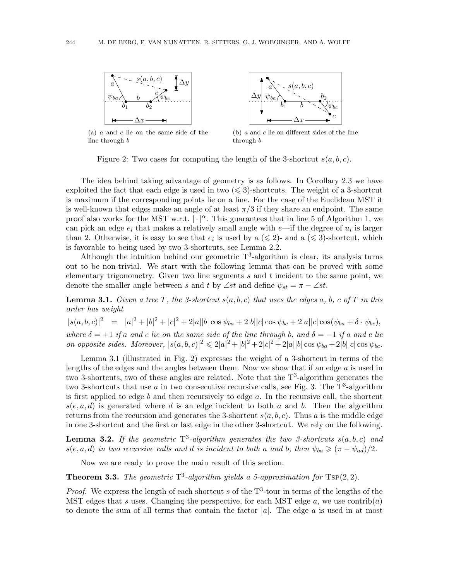

(a) a and c lie on the same side of the line through b



(b)  $a$  and  $c$  lie on different sides of the line through b

Figure 2: Two cases for computing the length of the 3-shortcut  $s(a, b, c)$ .

The idea behind taking advantage of geometry is as follows. In Corollary 2.3 we have exploited the fact that each edge is used in two  $(\leq 3)$ -shortcuts. The weight of a 3-shortcut is maximum if the corresponding points lie on a line. For the case of the Euclidean MST it is well-known that edges make an angle of at least  $\pi/3$  if they share an endpoint. The same proof also works for the MST w.r.t.  $|\cdot|^{\alpha}$ . This guarantees that in line 5 of Algorithm 1, we can pick an edge  $e_i$  that makes a relatively small angle with  $e$ —if the degree of  $u_i$  is larger than 2. Otherwise, it is easy to see that  $e_i$  is used by a ( $\leq 2$ )- and a ( $\leq 3$ )-shortcut, which is favorable to being used by two 3-shortcuts, see Lemma 2.2.

Although the intuition behind our geometric  $T^3$ -algorithm is clear, its analysis turns out to be non-trivial. We start with the following lemma that can be proved with some elementary trigonometry. Given two line segments  $s$  and  $t$  incident to the same point, we denote the smaller angle between s and t by ∠st and define  $\psi_{st} = \pi - \angle st$ .

**Lemma 3.1.** Given a tree T, the 3-shortcut  $s(a, b, c)$  that uses the edges a, b, c of T in this order has weight

 $|s(a,b,c)|^2 = |a|^2 + |b|^2 + |c|^2 + 2|a||b|\cos \psi_{ba} + 2|b||c|\cos \psi_{bc} + 2|a||c|\cos(\psi_{ba} + \delta \cdot \psi_{bc}),$ where  $\delta = +1$  if a and c lie on the same side of the line through b, and  $\delta = -1$  if a and c lie on opposite sides. Moreover,  $|s(a, b, c)|^2 \leq 2|a|^2 + |b|^2 + 2|c|^2 + 2|a||b|\cos \psi_{ba} + 2|b||c|\cos \psi_{bc}$ .

Lemma 3.1 (illustrated in Fig. 2) expresses the weight of a 3-shortcut in terms of the lengths of the edges and the angles between them. Now we show that if an edge  $a$  is used in two 3-shortcuts, two of these angles are related. Note that the  $T^3$ -algorithm generates the two 3-shortcuts that use a in two consecutive recursive calls, see Fig. 3. The  $T^3$ -algorithm is first applied to edge b and then recursively to edge a. In the recursive call, the shortcut  $s(e, a, d)$  is generated where d is an edge incident to both a and b. Then the algorithm returns from the recursion and generates the 3-shortcut  $s(a, b, c)$ . Thus a is the middle edge in one 3-shortcut and the first or last edge in the other 3-shortcut. We rely on the following.

**Lemma 3.2.** If the geometric  $T^3$ -algorithm generates the two 3-shortcuts  $s(a,b,c)$  and  $s(e, a, d)$  in two recursive calls and d is incident to both a and b, then  $\psi_{ba} \geq (\pi - \psi_{ad})/2$ .

Now we are ready to prove the main result of this section.

**Theorem 3.3.** The geometric  $T^3$ -algorithm yields a 5-approximation for  $TSP(2, 2)$ .

*Proof.* We express the length of each shortcut s of the  $T^3$ -tour in terms of the lengths of the MST edges that s uses. Changing the perspective, for each MST edge a, we use contrib(a) to denote the sum of all terms that contain the factor  $|a|$ . The edge a is used in at most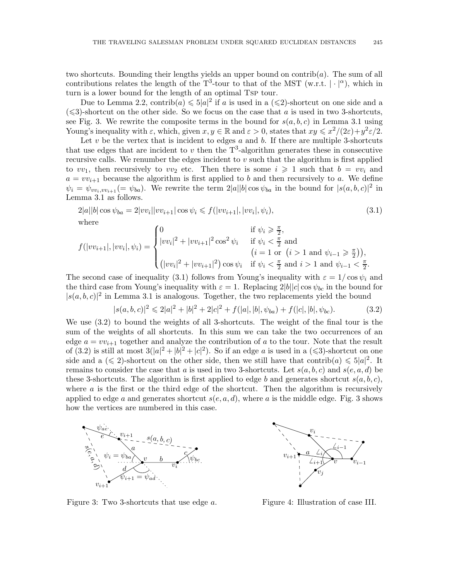two shortcuts. Bounding their lengths yields an upper bound on contrib( $a$ ). The sum of all contributions relates the length of the T<sup>3</sup>-tour to that of the MST (w.r.t.  $|\cdot|^{\alpha}$ ), which in turn is a lower bound for the length of an optimal Tsp tour.

Due to Lemma 2.2, contrib $(a) \leq 5|a|^2$  if a is used in a  $(\leq 2)$ -shortcut on one side and a  $(\leq 3)$ -shortcut on the other side. So we focus on the case that a is used in two 3-shortcuts, see Fig. 3. We rewrite the composite terms in the bound for  $s(a,b,c)$  in Lemma 3.1 using Young's inequality with  $\varepsilon$ , which, given  $x, y \in \mathbb{R}$  and  $\varepsilon > 0$ , states that  $xy \leq x^2/(2\varepsilon) + y^2 \varepsilon/2$ .

Let  $v$  be the vertex that is incident to edges  $a$  and  $b$ . If there are multiple 3-shortcuts that use edges that are incident to v then the  $T^3$ -algorithm generates these in consecutive recursive calls. We renumber the edges incident to  $v$  such that the algorithm is first applied to  $vv_1$ , then recursively to  $vv_2$  etc. Then there is some  $i \geq 1$  such that  $b = vv_i$  and  $a = v v_{i+1}$  because the algorithm is first applied to b and then recursively to a. We define  $\psi_i = \psi_{vv_i, vv_{i+1}} (= \psi_{ba})$ . We rewrite the term  $2|a||b| \cos \psi_{ba}$  in the bound for  $|s(a, b, c)|^2$  in Lemma 3.1 as follows.

$$
2|a||b|\cos\psi_{ba} = 2|vv_i||vv_{i+1}|\cos\psi_i \le f(|vv_{i+1}|, |vv_i|, \psi_i),
$$
\nwhere\n
$$
\begin{cases}\n0 & \text{if } \psi_i \ge \frac{\pi}{2}.\n\end{cases}
$$
\n(3.1)

$$
f(|vv_{i+1}|, |vv_i|, \psi_i) = \begin{cases} 0 & \text{if } \psi_i \geq \frac{\pi}{2}, \\ |vv_i|^2 + |vv_{i+1}|^2 \cos^2 \psi_i & \text{if } \psi_i < \frac{\pi}{2} \text{ and} \\ & (i = 1 \text{ or } (i > 1 \text{ and } \psi_{i-1} \geq \frac{\pi}{2})), \\ (|vv_i|^2 + |vv_{i+1}|^2) \cos \psi_i & \text{if } \psi_i < \frac{\pi}{2} \text{ and } i > 1 \text{ and } \psi_{i-1} < \frac{\pi}{2}. \end{cases}
$$

The second case of inequality (3.1) follows from Young's inequality with  $\varepsilon = 1/\cos \psi_i$  and the third case from Young's inequality with  $\varepsilon = 1$ . Replacing  $2|b||c|\cos \psi_{bc}$  in the bound for  $|s(a,b,c)|^2$  in Lemma 3.1 is analogous. Together, the two replacements yield the bound

$$
|s(a,b,c)|^2 \leq 2|a|^2 + |b|^2 + 2|c|^2 + f(|a|,|b|, \psi_{ba}) + f(|c|,|b|, \psi_{bc}).
$$
\n(3.2)

We use (3.2) to bound the weights of all 3-shortcuts. The weight of the final tour is the sum of the weights of all shortcuts. In this sum we can take the two occurrences of an edge  $a = v v_{i+1}$  together and analyze the contribution of a to the tour. Note that the result of (3.2) is still at most  $3(|a|^2 + |b|^2 + |c|^2)$ . So if an edge a is used in a ( $\leq 3$ )-shortcut on one side and a ( $\leq 2$ )-shortcut on the other side, then we still have that contrib $(a) \leq 5|a|^2$ . It remains to consider the case that a is used in two 3-shortcuts. Let  $s(a, b, c)$  and  $s(e, a, d)$  be these 3-shortcuts. The algorithm is first applied to edge b and generates shortcut  $s(a,b,c)$ , where  $\alpha$  is the first or the third edge of the shortcut. Then the algorithm is recursively applied to edge a and generates shortcut  $s(e, a, d)$ , where a is the middle edge. Fig. 3 shows how the vertices are numbered in this case.



Figure 3: Two 3-shortcuts that use edge a.



Figure 4: Illustration of case III.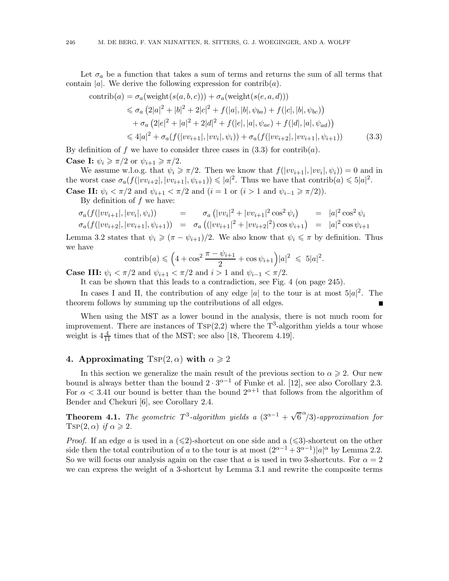Let  $\sigma_a$  be a function that takes a sum of terms and returns the sum of all terms that contain |a|. We derive the following expression for contrib $(a)$ .

$$
\text{contrib}(a) = \sigma_a(\text{weight}(s(a, b, c))) + \sigma_a(\text{weight}(s(e, a, d)))
$$
  
\n
$$
\leq \sigma_a (2|a|^2 + |b|^2 + 2|c|^2 + f(|a|, |b|, \psi_{ba}) + f(|c|, |b|, \psi_{bc}))
$$
  
\n
$$
+ \sigma_a (2|e|^2 + |a|^2 + 2|d|^2 + f(|e|, |a|, \psi_{ae}) + f(|d|, |a|, \psi_{ad}))
$$
  
\n
$$
\leq 4|a|^2 + \sigma_a(f(|vv_{i+1}|, |vv_i|, \psi_i)) + \sigma_a(f(|vv_{i+2}|, |vv_{i+1}|, \psi_{i+1}))
$$
 (3.3)

By definition of f we have to consider three cases in  $(3.3)$  for contrib $(a)$ . **Case I:**  $\psi_i \geq \pi/2$  or  $\psi_{i+1} \geq \pi/2$ .

We assume w.l.o.g. that  $\psi_i \geq \pi/2$ . Then we know that  $f(|vv_{i+1}|, |vv_i|, \psi_i) = 0$  and in the worst case  $\sigma_a(f(|vv_{i+2}|, |vv_{i+1}|, \psi_{i+1})) \leqslant |a|^2$ . Thus we have that contrib $(a) \leqslant 5|a|^2$ . **Case II:**  $\psi_i < \pi/2$  and  $\psi_{i+1} < \pi/2$  and  $(i = 1 \text{ or } (i > 1 \text{ and } \psi_{i-1} \geq \pi/2)).$ 

By definition of  $f$  we have:

$$
\sigma_a(f(|vv_{i+1}|,|vv_i|,\psi_i)) = \sigma_a(|vv_i|^2 + |vv_{i+1}|^2 \cos^2 \psi_i) = |a|^2 \cos^2 \psi_i
$$
  
\n
$$
\sigma_a(f(|vv_{i+2}|,|vv_{i+1}|, \psi_{i+1})) = \sigma_a((|vv_{i+1}|^2 + |vv_{i+2}|^2) \cos \psi_{i+1}) = |a|^2 \cos \psi_{i+1}
$$

Lemma 3.2 states that  $\psi_i \geqslant (\pi - \psi_{i+1})/2$ . We also know that  $\psi_i \leqslant \pi$  by definition. Thus we have

contrib(a) 
$$
\leq
$$
  $\left(4 + \cos^2 \frac{\pi - \psi_{i+1}}{2} + \cos \psi_{i+1}\right) |a|^2 \leq 5|a|^2$ .

**Case III:**  $\psi_i < \pi/2$  and  $\psi_{i+1} < \pi/2$  and  $i > 1$  and  $\psi_{i-1} < \pi/2$ .

It can be shown that this leads to a contradiction, see Fig. 4 (on page 245).

In cases I and II, the contribution of any edge |a| to the tour is at most  $5|a|^2$ . The theorem follows by summing up the contributions of all edges.

When using the MST as a lower bound in the analysis, there is not much room for improvement. There are instances of  $TSP(2,2)$  where the  $T^3$ -algorithm yields a tour whose weight is  $4\frac{4}{11}$  times that of the MST; see also [18, Theorem 4.19].

## 4. Approximating  $TSP(2, \alpha)$  with  $\alpha \geq 2$

In this section we generalize the main result of the previous section to  $\alpha \geq 2$ . Our new bound is always better than the bound  $2 \cdot 3^{\alpha-1}$  of Funke et al. [12], see also Corollary 2.3. For  $\alpha$  < 3.41 our bound is better than the bound  $2^{\alpha+1}$  that follows from the algorithm of Bender and Chekuri [6], see Corollary 2.4.

**Theorem 4.1.** The geometric  $T^3$ -algorithm yields a  $(3^{\alpha-1} + \sqrt{6}^{\alpha}/3)$ -approximation for  $T$ SP $(2,\alpha)$  if  $\alpha \geqslant 2$ .

*Proof.* If an edge a is used in a  $(\leq 2)$ -shortcut on one side and a  $(\leq 3)$ -shortcut on the other side then the total contribution of a to the tour is at most  $(2^{\alpha-1}+3^{\alpha-1})|a|^{\alpha}$  by Lemma 2.2. So we will focus our analysis again on the case that a is used in two 3-shortcuts. For  $\alpha = 2$ we can express the weight of a 3-shortcut by Lemma 3.1 and rewrite the composite terms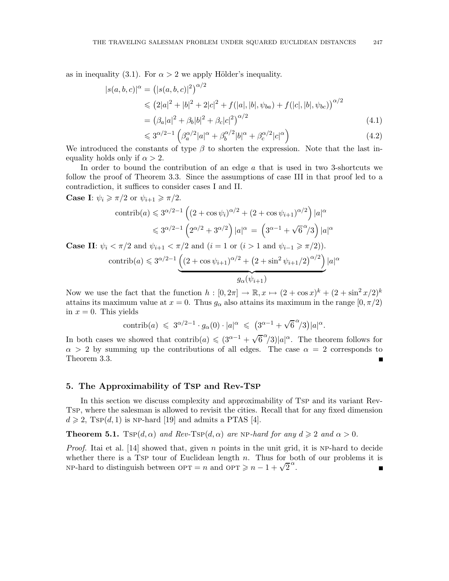as in inequality (3.1). For  $\alpha > 2$  we apply Hölder's inequality.

$$
|s(a,b,c)|^{\alpha} = (|s(a,b,c)|^2)^{\alpha/2}
$$
  
\n
$$
\leq (2|a|^2 + |b|^2 + 2|c|^2 + f(|a|, |b|, \psi_{ba}) + f(|c|, |b|, \psi_{bc}))^{\alpha/2}
$$
  
\n
$$
= (\beta_a|a|^2 + \beta_b|b|^2 + \beta_c|c|^2)^{\alpha/2}
$$
\n(4.1)

$$
\leq 3^{\alpha/2 - 1} \left( \beta_a^{\alpha/2} |a|^{\alpha} + \beta_b^{\alpha/2} |b|^{\alpha} + \beta_c^{\alpha/2} |c|^{\alpha} \right) \tag{4.2}
$$

We introduced the constants of type  $\beta$  to shorten the expression. Note that the last inequality holds only if  $\alpha > 2$ .

In order to bound the contribution of an edge a that is used in two 3-shortcuts we follow the proof of Theorem 3.3. Since the assumptions of case III in that proof led to a contradiction, it suffices to consider cases I and II.

**Case I:**  $\psi_i \geq \pi/2$  or  $\psi_{i+1} \geq \pi/2$ .

$$
\operatorname{contrib}(a) \leqslant 3^{\alpha/2 - 1} \left( \left( 2 + \cos \psi_i \right)^{\alpha/2} + \left( 2 + \cos \psi_{i+1} \right)^{\alpha/2} \right) |a|^{\alpha}
$$
  

$$
\leqslant 3^{\alpha/2 - 1} \left( 2^{\alpha/2} + 3^{\alpha/2} \right) |a|^{\alpha} = \left( 3^{\alpha - 1} + \sqrt{6}^{\alpha/3} \right) |a|^{\alpha}
$$

**Case II:**  $\psi_i < \pi/2$  and  $\psi_{i+1} < \pi/2$  and  $(i = 1 \text{ or } (i > 1 \text{ and } \psi_{i-1} \geq \pi/2)).$ 

$$
\text{contrib}(a) \leq 3^{\alpha/2 - 1} \underbrace{\left( (2 + \cos \psi_{i+1})^{\alpha/2} + (2 + \sin^2 \psi_{i+1}/2)^{\alpha/2} \right)}_{g_{\alpha}(\psi_{i+1})} |a|^{\alpha}
$$

Now we use the fact that the function  $h : [0, 2\pi] \to \mathbb{R}, x \mapsto (2 + \cos x)^k + (2 + \sin^2 x/2)^k$ attains its maximum value at  $x = 0$ . Thus  $g_{\alpha}$  also attains its maximum in the range  $[0, \pi/2)$ in  $x = 0$ . This yields

$$
\text{contrib}(a) \ \leqslant \ 3^{\alpha/2 - 1} \cdot g_{\alpha}(0) \cdot |a|^{\alpha} \ \leqslant \ \big(3^{\alpha - 1} + \sqrt{6}^{\alpha}/3\big)|a|^{\alpha}.
$$

In both cases we showed that  $\text{contribute}(a) \leq (3^{\alpha-1} + \sqrt{6}^{\alpha}/3)|a|^{\alpha}$ . The theorem follows for  $\alpha > 2$  by summing up the contributions of all edges. The case  $\alpha = 2$  corresponds to Theorem 3.3.

## 5. The Approximability of TSP and Rev-TSP

In this section we discuss complexity and approximability of Tsp and its variant Rev-Tsp, where the salesman is allowed to revisit the cities. Recall that for any fixed dimension  $d \geq 2$ , Tsp(d, 1) is NP-hard [19] and admits a PTAS [4].

**Theorem 5.1.**  $Tsp(d, \alpha)$  and  $Rev-Tsp(d, \alpha)$  are NP-hard for any  $d \geq 2$  and  $\alpha > 0$ .

*Proof.* Itai et al. [14] showed that, given n points in the unit grid, it is NP-hard to decide whether there is a TSP tour of Euclidean length  $n$ . Thus for both of our problems it is NP-hard to distinguish between  $\text{OPT} = n$  and  $\text{OPT} \geq n - 1 + \sqrt{2}^{\alpha}$ .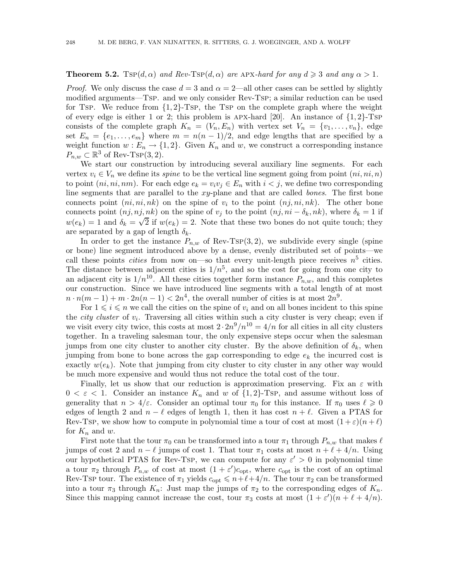## **Theorem 5.2.**  $Tsp(d, \alpha)$  and  $Rev-Tsp(d, \alpha)$  are APX-hard for any  $d \geq 3$  and any  $\alpha > 1$ .

*Proof.* We only discuss the case  $d = 3$  and  $\alpha = 2$ —all other cases can be settled by slightly modified arguments—Tsp. and we only consider Rev-Tsp; a similar reduction can be used for Tsp. We reduce from  $\{1, 2\}$ -Tsp, the Tsp on the complete graph where the weight of every edge is either 1 or 2; this problem is APX-hard  $[20]$ . An instance of  $\{1,2\}$ -TsP consists of the complete graph  $K_n = (V_n, E_n)$  with vertex set  $V_n = \{v_1, \ldots, v_n\}$ , edge set  $E_n = \{e_1, \ldots, e_m\}$  where  $m = n(n-1)/2$ , and edge lengths that are specified by a weight function  $w : E_n \to \{1,2\}$ . Given  $K_n$  and w, we construct a corresponding instance  $P_{n,w} \subset \mathbb{R}^3$  of Rev-Tsp $(3,2)$ .

We start our construction by introducing several auxiliary line segments. For each vertex  $v_i \in V_n$  we define its *spine* to be the vertical line segment going from point  $(ni, ni, n)$ to point  $(ni, ni, nm)$ . For each edge  $e_k = v_i v_j \in E_n$  with  $i < j$ , we define two corresponding line segments that are parallel to the xy-plane and that are called bones. The first bone connects point  $(ni, ni, nk)$  on the spine of  $v_i$  to the point  $(nj, ni, nk)$ . The other bone connects point  $(nj,nj,nk)$  on the spine of  $v_j$  to the point  $(nj,ni-\delta_k,nk)$ , where  $\delta_k=1$  if  $w(e_k) = 1$  and  $\delta_k = \sqrt{2}$  if  $w(e_k) = 2$ . Note that these two bones do not quite touch; they are separated by a gap of length  $\delta_k$ .

In order to get the instance  $P_{n,w}$  of Rev-Tsp(3, 2), we subdivide every single (spine or bone) line segment introduced above by a dense, evenly distributed set of points—we call these points *cities* from now on—so that every unit-length piece receives  $n<sup>5</sup>$  cities. The distance between adjacent cities is  $1/n^5$ , and so the cost for going from one city to an adjacent city is  $1/n^{10}$ . All these cities together form instance  $P_{n,w}$ , and this completes our construction. Since we have introduced line segments with a total length of at most  $n \cdot n(m-1) + m \cdot 2n(n-1) < 2n^4$ , the overall number of cities is at most  $2n^9$ .

For  $1 \leq i \leq n$  we call the cities on the spine of  $v_i$  and on all bones incident to this spine the *city cluster* of  $v_i$ . Traversing all cities within such a city cluster is very cheap; even if we visit every city twice, this costs at most  $2 \cdot 2n^9/n^{10} = 4/n$  for all cities in all city clusters together. In a traveling salesman tour, the only expensive steps occur when the salesman jumps from one city cluster to another city cluster. By the above definition of  $\delta_k$ , when jumping from bone to bone across the gap corresponding to edge  $e_k$  the incurred cost is exactly  $w(e_k)$ . Note that jumping from city cluster to city cluster in any other way would be much more expensive and would thus not reduce the total cost of the tour.

Finally, let us show that our reduction is approximation preserving. Fix an  $\varepsilon$  with  $0 < \varepsilon < 1$ . Consider an instance  $K_n$  and w of  $\{1,2\}$ -Tsp, and assume without loss of generality that  $n > 4/\varepsilon$ . Consider an optimal tour  $\pi_0$  for this instance. If  $\pi_0$  uses  $\ell \geq 0$ edges of length 2 and  $n - \ell$  edges of length 1, then it has cost  $n + \ell$ . Given a PTAS for Rev-Tsp, we show how to compute in polynomial time a tour of cost at most  $(1+\varepsilon)(n+\ell)$ for  $K_n$  and  $w$ .

First note that the tour  $\pi_0$  can be transformed into a tour  $\pi_1$  through  $P_{n,w}$  that makes  $\ell$ jumps of cost 2 and  $n - \ell$  jumps of cost 1. That tour  $\pi_1$  costs at most  $n + \ell + 4/n$ . Using our hypothetical PTAS for Rev-Tsp, we can compute for any  $\varepsilon' > 0$  in polynomial time a tour  $\pi_2$  through  $P_{n,w}$  of cost at most  $(1+\varepsilon')c_{\text{opt}}$ , where  $c_{\text{opt}}$  is the cost of an optimal Rev-Tsp tour. The existence of  $\pi_1$  yields  $c_{opt} \leqslant n+\ell+4/n$ . The tour  $\pi_2$  can be transformed into a tour  $\pi_3$  through  $K_n$ : Just map the jumps of  $\pi_2$  to the corresponding edges of  $K_n$ . Since this mapping cannot increase the cost, tour  $\pi_3$  costs at most  $(1 + \varepsilon')(n + \ell + 4/n)$ .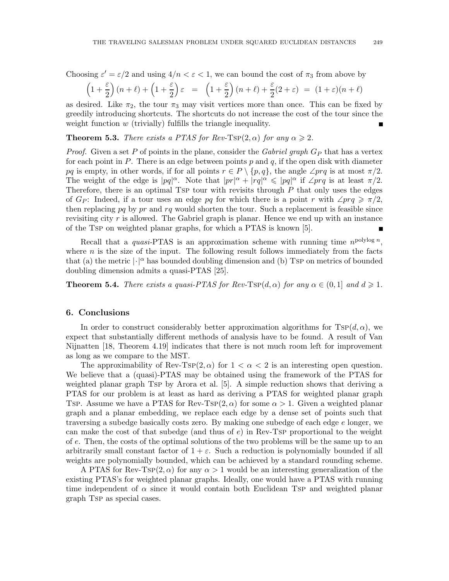Choosing  $\varepsilon' = \varepsilon/2$  and using  $4/n < \varepsilon < 1$ , we can bound the cost of  $\pi_3$  from above by

$$
\left(1+\frac{\varepsilon}{2}\right)(n+\ell)+\left(1+\frac{\varepsilon}{2}\right)\varepsilon = \left(1+\frac{\varepsilon}{2}\right)(n+\ell)+\frac{\varepsilon}{2}(2+\varepsilon) = (1+\varepsilon)(n+\ell)
$$

as desired. Like  $\pi_2$ , the tour  $\pi_3$  may visit vertices more than once. This can be fixed by greedily introducing shortcuts. The shortcuts do not increase the cost of the tour since the weight function  $w$  (trivially) fulfills the triangle inequality.  $\blacksquare$ 

**Theorem 5.3.** There exists a PTAS for Rev-Tsp(2,  $\alpha$ ) for any  $\alpha \geq 2$ .

*Proof.* Given a set P of points in the plane, consider the Gabriel graph  $G_P$  that has a vertex for each point in P. There is an edge between points  $p$  and  $q$ , if the open disk with diameter pq is empty, in other words, if for all points  $r \in P \setminus \{p,q\}$ , the angle ∠prq is at most  $\pi/2$ . The weight of the edge is  $|pq|^{\alpha}$ . Note that  $|pr|^{\alpha} + |rq|^{\alpha} \leq |pq|^{\alpha}$  if  $\angle prq$  is at least  $\pi/2$ . Therefore, there is an optimal TSP tour with revisits through  $P$  that only uses the edges of  $G_P$ : Indeed, if a tour uses an edge pq for which there is a point r with  $\angle p \nvert q \geq \pi/2$ , then replacing pq by pr and  $rq$  would shorten the tour. Such a replacement is feasible since revisiting city r is allowed. The Gabriel graph is planar. Hence we end up with an instance of the Tsp on weighted planar graphs, for which a PTAS is known [5].

Recall that a *quasi*-PTAS is an approximation scheme with running time  $n^{\text{polylog }n}$ , where  $n$  is the size of the input. The following result follows immediately from the facts that (a) the metric  $|\cdot|^{\alpha}$  has bounded doubling dimension and (b) Tsp on metrics of bounded doubling dimension admits a quasi-PTAS [25].

**Theorem 5.4.** There exists a quasi-PTAS for Rev-TSP(d,  $\alpha$ ) for any  $\alpha \in (0,1]$  and  $d \geq 1$ .

#### 6. Conclusions

In order to construct considerably better approximation algorithms for  $Tsp(d, \alpha)$ , we expect that substantially different methods of analysis have to be found. A result of Van Nijnatten [18, Theorem 4.19] indicates that there is not much room left for improvement as long as we compare to the MST.

The approximability of Rev-Tsp $(2, \alpha)$  for  $1 < \alpha < 2$  is an interesting open question. We believe that a (quasi)-PTAS may be obtained using the framework of the PTAS for weighted planar graph Tsp by Arora et al. [5]. A simple reduction shows that deriving a PTAS for our problem is at least as hard as deriving a PTAS for weighted planar graph Tsp. Assume we have a PTAS for Rev-Tsp(2,  $\alpha$ ) for some  $\alpha > 1$ . Given a weighted planar graph and a planar embedding, we replace each edge by a dense set of points such that traversing a subedge basically costs zero. By making one subedge of each edge  $e$  longer, we can make the cost of that subedge (and thus of  $e$ ) in Rev-Tsp proportional to the weight of e. Then, the costs of the optimal solutions of the two problems will be the same up to an arbitrarily small constant factor of  $1 + \varepsilon$ . Such a reduction is polynomially bounded if all weights are polynomially bounded, which can be achieved by a standard rounding scheme.

A PTAS for Rev-Tsp(2,  $\alpha$ ) for any  $\alpha > 1$  would be an interesting generalization of the existing PTAS's for weighted planar graphs. Ideally, one would have a PTAS with running time independent of  $\alpha$  since it would contain both Euclidean TsP and weighted planar graph Tsp as special cases.